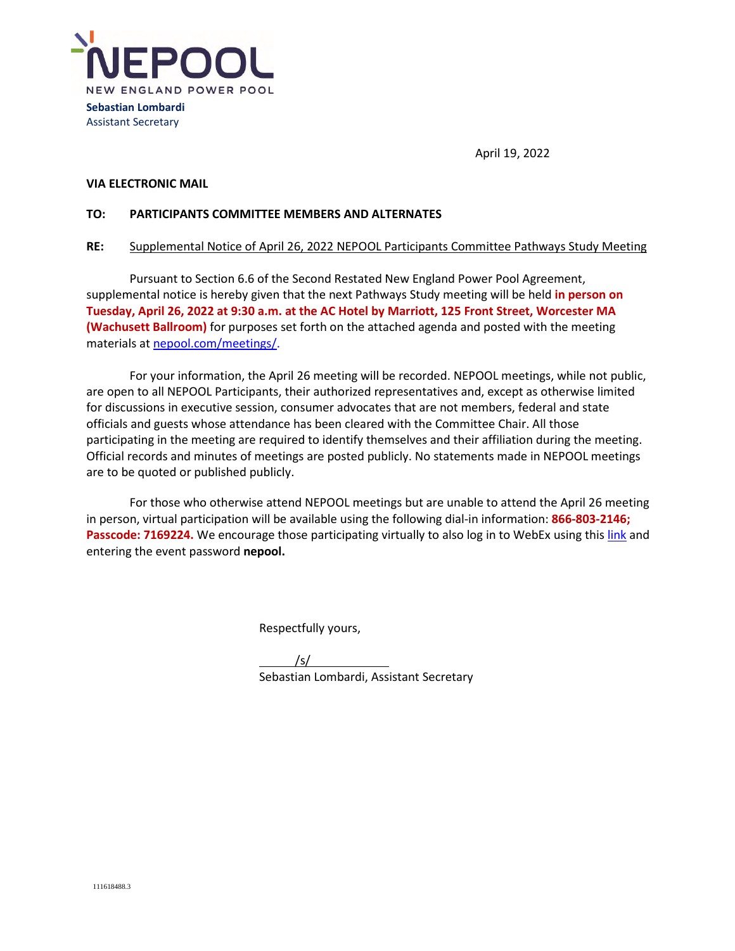

April 19, 2022

### **VIA ELECTRONIC MAIL**

### **TO: PARTICIPANTS COMMITTEE MEMBERS AND ALTERNATES**

## **RE:** Supplemental Notice of April 26, 2022 NEPOOL Participants Committee Pathways Study Meeting

Pursuant to Section 6.6 of the Second Restated New England Power Pool Agreement, supplemental notice is hereby given that the next Pathways Study meeting will be held **in person on Tuesday, April 26, 2022 at 9:30 a.m. at the AC Hotel by Marriott, 125 Front Street, Worcester MA (Wachusett Ballroom)** for purposes set forth on the attached agenda and posted with the meeting materials at nepool.com/meetings/.

For your information, the April 26 meeting will be recorded. NEPOOL meetings, while not public, are open to all NEPOOL Participants, their authorized representatives and, except as otherwise limited for discussions in executive session, consumer advocates that are not members, federal and state officials and guests whose attendance has been cleared with the Committee Chair. All those participating in the meeting are required to identify themselves and their affiliation during the meeting. Official records and minutes of meetings are posted publicly. No statements made in NEPOOL meetings are to be quoted or published publicly.

For those who otherwise attend NEPOOL meetings but are unable to attend the April 26 meeting in person, virtual participation will be available using the following dial-in information: **866-803-2146;**  Passcode: 7169224. We encourage those participating virtually to also log in to WebEx using this link and entering the event password **nepool.** 

Respectfully yours,

 /s/ Sebastian Lombardi, Assistant Secretary